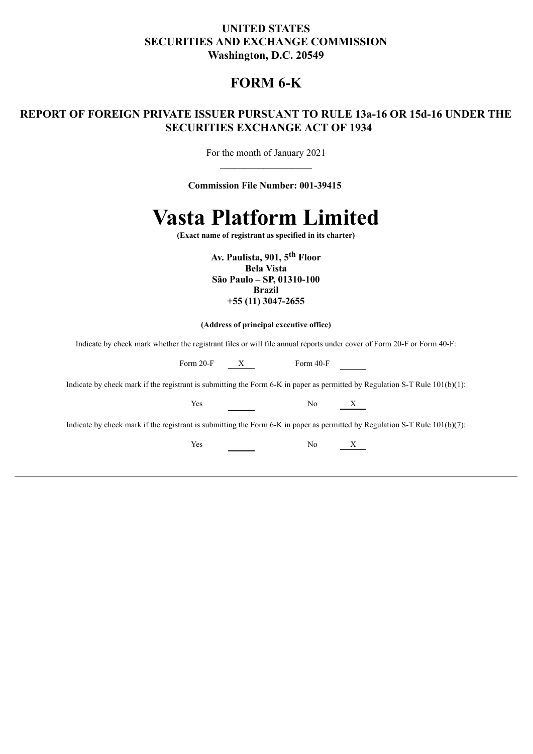### **UNITED STATES SECURITIES AND EXCHANGE COMMISSION Washington, D.C. 20549**

### **FORM 6-K**

### **REPORT OF FOREIGN PRIVATE ISSUER PURSUANT TO RULE 13a-16 OR 15d-16 UNDER THE SECURITIES EXCHANGE ACT OF 1934**

For the month of January 2021  $\mathcal{L}=\mathcal{L}^{\mathcal{L}}$ 

**Commission File Number: 001-39415** 



**(Exact name of registrant as specified in its charter)**

**Av. Paulista, 901, 5th Floor Bela Vista São Paulo – SP, 01310-100 Brazil +55 (11) 3047-2655**

#### **(Address of principal executive office)**

Indicate by check mark whether the registrant files or will file annual reports under cover of Form 20-F or Form 40-F:

| Form 20-F                                                                                                                      | X | Form 40-F |   |
|--------------------------------------------------------------------------------------------------------------------------------|---|-----------|---|
| Indicate by check mark if the registrant is submitting the Form 6-K in paper as permitted by Regulation S-T Rule $101(b)(1)$ : |   |           |   |
| Yes                                                                                                                            |   | No.       | X |
| Indicate by check mark if the registrant is submitting the Form 6-K in paper as permitted by Regulation S-T Rule $101(b)(7)$ : |   |           |   |
| Yes                                                                                                                            |   | No        |   |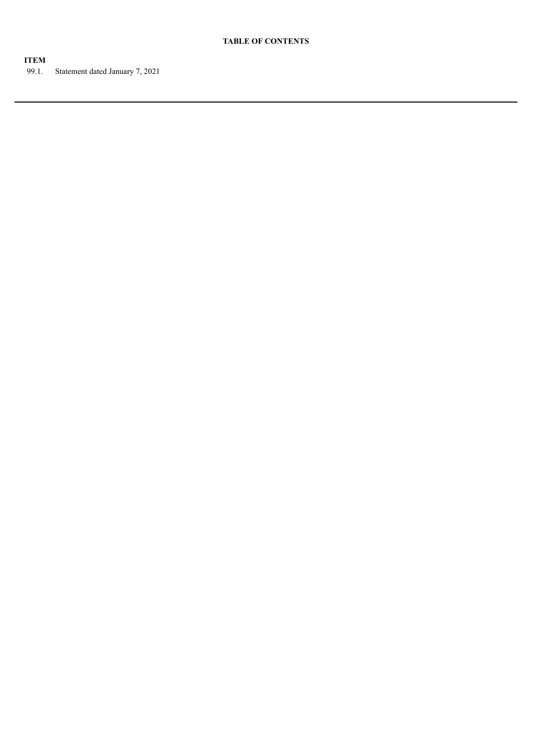#### **ITEM**

99.1. Statement dated January 7, 2021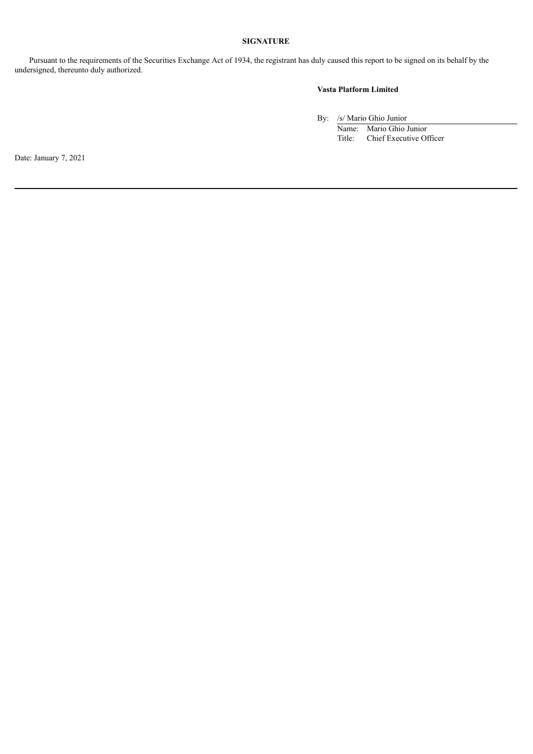#### **SIGNATURE**

Pursuant to the requirements of the Securities Exchange Act of 1934, the registrant has duly caused this report to be signed on its behalf by the undersigned, thereunto duly authorized.

### **Vasta Platform Limited**

By: /s/ Mario Ghio Junior

Name: Mario Ghio Junior<br>Title: Chief Executive Of Chief Executive Officer

Date: January 7, 2021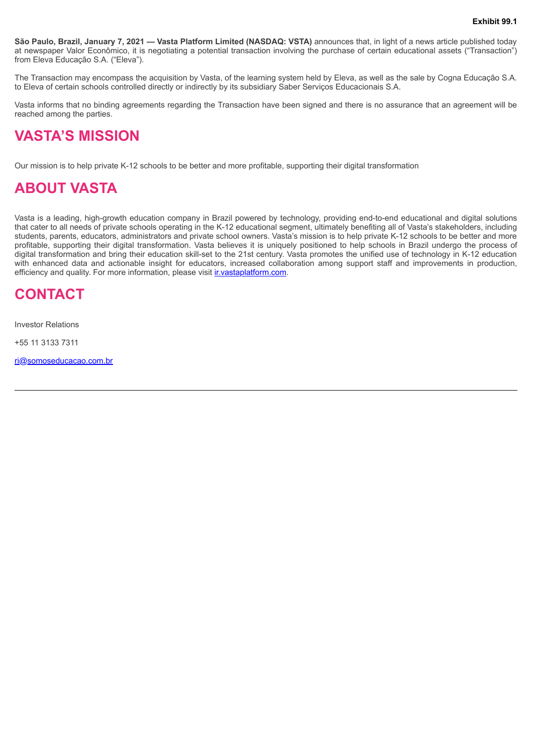**São Paulo, Brazil, January 7, 2021 — Vasta Platform Limited (NASDAQ: VSTA)** announces that, in light of a news article published today at newspaper Valor Econômico, it is negotiating a potential transaction involving the purchase of certain educational assets ("Transaction") from Eleva Educação S.A. ("Eleva").

The Transaction may encompass the acquisition by Vasta, of the learning system held by Eleva, as well as the sale by Cogna Educação S.A. to Eleva of certain schools controlled directly or indirectly by its subsidiary Saber Serviços Educacionais S.A.

Vasta informs that no binding agreements regarding the Transaction have been signed and there is no assurance that an agreement will be reached among the parties.

## **VASTA'S MISSION**

Our mission is to help private K-12 schools to be better and more profitable, supporting their digital transformation

## **ABOUT VASTA**

Vasta is a leading, high-growth education company in Brazil powered by technology, providing end-to-end educational and digital solutions that cater to all needs of private schools operating in the K-12 educational segment, ultimately benefiting all of Vasta's stakeholders, including students, parents, educators, administrators and private school owners. Vasta's mission is to help private K-12 schools to be better and more profitable, supporting their digital transformation. Vasta believes it is uniquely positioned to help schools in Brazil undergo the process of digital transformation and bring their education skill-set to the 21st century. Vasta promotes the unified use of technology in K-12 education with enhanced data and actionable insight for educators, increased collaboration among support staff and improvements in production, efficiency and quality. For more information, please visit *ir.vastaplatform.com.* 

## **CONTACT**

Investor Relations

+55 11 3133 7311

ri@somoseducacao.com.br